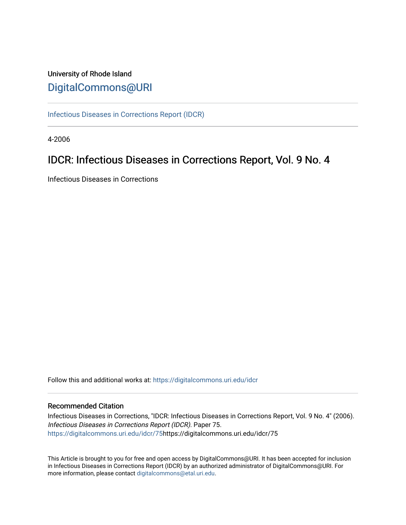# University of Rhode Island [DigitalCommons@URI](https://digitalcommons.uri.edu/)

[Infectious Diseases in Corrections Report \(IDCR\)](https://digitalcommons.uri.edu/idcr)

4-2006

# IDCR: Infectious Diseases in Corrections Report, Vol. 9 No. 4

Infectious Diseases in Corrections

Follow this and additional works at: [https://digitalcommons.uri.edu/idcr](https://digitalcommons.uri.edu/idcr?utm_source=digitalcommons.uri.edu%2Fidcr%2F75&utm_medium=PDF&utm_campaign=PDFCoverPages)

## Recommended Citation

Infectious Diseases in Corrections, "IDCR: Infectious Diseases in Corrections Report, Vol. 9 No. 4" (2006). Infectious Diseases in Corrections Report (IDCR). Paper 75. [https://digitalcommons.uri.edu/idcr/75h](https://digitalcommons.uri.edu/idcr/75?utm_source=digitalcommons.uri.edu%2Fidcr%2F75&utm_medium=PDF&utm_campaign=PDFCoverPages)ttps://digitalcommons.uri.edu/idcr/75

This Article is brought to you for free and open access by DigitalCommons@URI. It has been accepted for inclusion in Infectious Diseases in Corrections Report (IDCR) by an authorized administrator of DigitalCommons@URI. For more information, please contact [digitalcommons@etal.uri.edu.](mailto:digitalcommons@etal.uri.edu)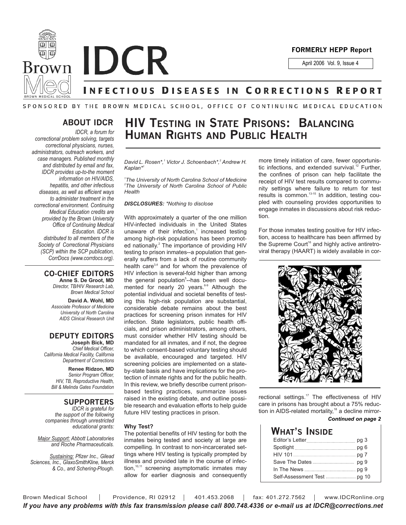

**Brown IDCR** 

April 2006 Vol. 9, Issue 4

# **INFECTIOUS DISEASES IN CORRECTIONS REPORT**

## SPONSORED BY THE BROWN MEDICAL SCHOOL, OFFICE OF CONTINUING MEDICAL EDUCATION

## **ABOUT IDCR**

*IDCR, a forum for correctional problem solving, targets correctional physicians, nurses, administrators, outreach workers, and case managers. Published monthly and distributed by email and fax, IDCR provides up-to-the moment information on HIV/AIDS, hepatitis, and other infectious diseases, as well as efficient ways to administer treatment in the correctional environment. Continuing Medical Education credits are provided by the Brown University Office of Continuing Medical Education. IDCR is distributed to all members of the Society of Correctional Physicians (SCP) within the SCP publication, CorrDocs (www.corrdocs.org).*

#### **CO-CHIEF EDITORS Anne S. De Groot, MD**

*Director, TB/HIV Research Lab, Brown Medical School*

**David A. Wohl, MD** *Associate Professor of Medicine University of North Carolina AIDS Clinical Research Unit*

## **DEPUTY EDITORS**

**Joseph Bick, MD** *Chief Medical Officer, California Medical Facility, California Department of Corrections*

> **Renee Ridzon, MD** *Senior Program Officer, HIV, TB, Reproductive Health, Bill & Melinda Gates Foundation*

## **SUPPORTERS**

*IDCR is grateful for the support of the following companies through unrestricted educational grants:*

*Major Support: Abbott Laboratories and Roche Pharmaceuticals.* 

*Sustaining: Pfizer Inc., Gilead Sciences, Inc., GlaxoSmithKline, Merck & Co., and Schering-Plough.*

# **HIV TESTING IN STATE PRISONS: BALANCING HUMAN RIGHTS AND PUBLIC HEALTH**

*David L. Rosen\*,1 Victor J. Schoenbach\*,2 Andrew H. Kaplan\*1*

*1 The University of North Carolina School of Medicine 2 The University of North Carolina School of Public Health*

## *DISCLOSURES: \*Nothing to disclose*

With approximately a quarter of the one million HIV-infected individuals in the United States unaware of their infection,<sup>1</sup> increased testing among high-risk populations has been promoted nationally.<sup>2</sup> The importance of providing HIV testing to prison inmates--a population that generally suffers from a lack of routine community health care<sup>3,4</sup> and for whom the prevalence of HIV infection is several-fold higher than among the general population<sup>5</sup>-has been well documented for nearly 20 years.<sup>6-9</sup> Although the potential individual and societal benefits of testing this high-risk population are substantial, considerable debate remains about the best practices for screening prison inmates for HIV infection. State legislators, public health officials, and prison administrators, among others, must consider whether HIV testing should be mandated for all inmates, and if not, the degree to which consent-based voluntary testing should be available, encouraged and targeted. HIV screening policies are implemented on a stateby-state basis and have implications for the protection of inmate rights and for the public health. In this review, we briefly describe current prisonbased testing practices, summarize issues raised in the existing debate, and outline possible research and evaluation efforts to help guide future HIV testing practices in prison.

#### **Why Test?**

The potential benefits of HIV testing for both the inmates being tested and society at large are compelling. In contrast to non-incarcerated settings where HIV testing is typically prompted by illness and provided late in the course of infection, $10,111$  screening asymptomatic inmates may allow for earlier diagnosis and consequently more timely initiation of care, fewer opportunistic infections, and extended survival.<sup>12</sup> Further, the confines of prison can help facilitate the receipt of HIV test results compared to community settings where failure to return for test results is common.13-15 In addition, testing coupled with counseling provides opportunities to engage inmates in discussions about risk reduction.

For those inmates testing positive for HIV infection, access to healthcare has been affirmed by the Supreme Court<sup>16</sup> and highly active antiretroviral therapy (HAART) is widely available in cor-



rectional settings.<sup>17</sup> The effectiveness of HIV care in prisons has brought about a 75% reduction in AIDS-related mortality, $18$  a decline mirror-

## *Continued on page 2*

| What's Inside |  |
|---------------|--|
|               |  |
|               |  |
| HIV 101       |  |
|               |  |
|               |  |
|               |  |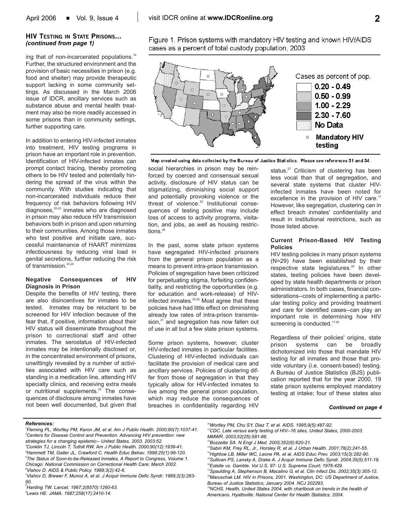## **2**

## **HIV TESTING IN STATE PRISONS...** *(continued from page 1)*

ing that of non-incarcerated populations.<sup>19</sup> Further, the structured environment and the provision of basic necessities in prison (e.g. food and shelter) may provide therapeutic support lacking in some community settings. As discussed in the March 2006 issue of IDCR, ancillary services such as substance abuse and mental health treatment may also be more readily accessed in some prisons than in community settings, further supporting care.

In addition to entering HIV-infected inmates into treatment, HIV testing programs in prison have an important role in prevention. Identification of HIV-infected inmates can prompt contact tracing, thereby promoting others to be HIV tested and potentially hindering the spread of the virus within the community. With studies indicating that non-incarcerated individuals reduce their frequency of risk behaviors following HIV diagnoses,20-22 inmates who are diagnosed in prison may also reduce HIV transmission behaviors both in prison and upon returning to their communities. Among those inmates who test positive and initiate care, successful maintenance of HAART minimizes infectiousness by reducing viral load in genital secretions, further reducing the risk of transmission.<sup>23,24</sup>

#### **Negative Consequences of HIV Diagnosis in Prison**

Despite the benefits of HIV testing, there are also disincentives for inmates to be tested. Inmates may be reluctant to be screened for HIV infection because of the fear that, if positive, information about their HIV status will disseminate throughout the prison to correctional staff and other inmates. The serostatus of HIV-infected inmates may be intentionally disclosed or, in the concentrated environment of prisons, unwittingly revealed by a number of activities associated with HIV care such as standing in a medication line, attending HIV specialty clinics, and receiving extra meals or nutritional supplements.<sup>25</sup> The consequences of disclosure among inmates have not been well documented, but given that Figure 1. Prison systems with mandatory HIV testing and known HIV/AIDS cases as a percent of total custody population, 2003



Map created using data collected by the Bureau of Justice Statistics. Please see references 31 and 34.

social hierarchies in prison may be reinforced by coerced and consensual sexual activity, disclosure of HIV status can be stigmatizing, diminishing social support and potentially provoking violence or the threat of violence.<sup>25</sup> Institutional consequences of testing positive may include loss of access to activity programs, visitation, and jobs, as well as housing restrictions.<sup>26</sup>

In the past, some state prison systems have segregated HIV-infected prisoners from the general prison population as a means to prevent intra-prison transmission. Policies of segregation have been criticized for perpetuating stigma, forfeiting confidentiality, and restricting the opportunities (e.g. for education and work-release) of HIVinfected inmates. $25,26$  Most agree that these policies have had little effect on diminishing already low rates of intra-prison transmission, $^{27}$  and segregation has now fallen out of use in all but a few state prison systems.

Some prison systems, however, cluster HIV-infected inmates in particular facilities. Clustering of HIV-infected individuals can facilitate the provision of medical care and ancillary services. Policies of clustering differ from those of segregation in that they typically allow for HIV-infected inmates to live among the general prison population, which may reduce the consequences of breaches in confidentiality regarding HIV status.<sup>27</sup> Criticism of clustering has been less vocal than that of segregation, and several state systems that cluster HIVinfected inmates have been noted for excellence in the provision of HIV care.<sup>17</sup> However, like segregation, clustering can in effect breach inmates' confidentiality and result in institutional restrictions, such as those listed above.

### **Current Prison-Based HIV Testing Policies**

HIV testing policies in many prison systems (N=29) have been established by their respective state legislatures.<sup>28</sup> In other states, testing policies have been developed by state health departments or prison administrators. In both cases, financial considerations--costs of implementing a particular testing policy and providing treatment and care for identified cases--can play an important role in determining how HIV screening is conducted.<sup>17,29</sup>

Regardless of their policies' origins, state prison systems can be broadly dichotomized into those that mandate HIV testing for all inmates and those that provide voluntary (i.e. consent-based) testing. A Bureau of Justice Statistics (BJS) publication reported that for the year 2000, 19 state prison systems employed mandatory testing at intake; four of these states also

#### *Continued on page 4*

#### *References:*

- *1 Fleming PL, Wortley PM, Karon JM, et al. Am J Public Health. 2000;90(7):1037-41. 2 Centers for Disease Control and Prevention. Advancing HIV prevention: new strategies for a changing epidemic-- United States, 2003. 2003:52. 3 Conklin TJ, Lincoln T, Tuthill RW. Am J Public Health. 2000;90(12):1939-41. 4 Hammett TM, Gaiter JL, Crawford C. Health Educ Behav. 1998;25(1):99-120. 5 The Status of Soon-to-be-Released Inmates, A Report to Congress, Volume 1. Chicago: National Commission on Correctional Health Care; March 2002. 6 Vlahov D. AIDS & Public Policy. 1988;3(2):42-6.*
- *7 Vlahov D, Brewer F, Munoz A, et al. J Acquir Immune Defic Syndr. 1989;2(3):283- 90.*

*8 Harding TW. Lancet. 1987;2(8570):1260-63. 9 Lewis HE. JAMA. 1987;258(17):2410-14.*

*10Wortley PM, Chu SY, Diaz T, et al. AIDS. 1995;9(5):487-92.*

*11CDC. Late versus early testing of HIV--16 sites, United States, 2000-2003. MMWR. 2003;52(25):581-86.*

*12Bozzette SA. N Engl J Med. 2005;352(6):620-21.*

*<sup>13</sup>Sabin KM, Frey RL, Jr., Horsley R, et al. J Urban Health. 2001;78(2):241-55.*

*<sup>14</sup>Hightow LB, Miller WC, Leone PA, et al. AIDS Educ Prev. 2003;15(3):282-90.*

*<sup>15</sup>Sullivan PS, Lansky A, Drake A. J Acquir Immune Defic Syndr. 2004;35(5):511-18. 16Estelle vs. Gamble. Vol U.S. 97: U.S. Supreme Court; 1976:429.*

*<sup>17</sup>Spaulding A, Stephenson B, Macalino G, et al. Clin Infect Dis. 2002;35(3):305-12. 18Maruschak LM. HIV in Prisons, 2001. Washington, DC: US Department of Justice, Bureau of Justice Statistics; January 2004. NCJ 202293.*

*<sup>19</sup>NCHS. Health, United States 2004, with chartbook on trends in the health of Americans. Hyattsville: National Center for Health Statistics; 2004.*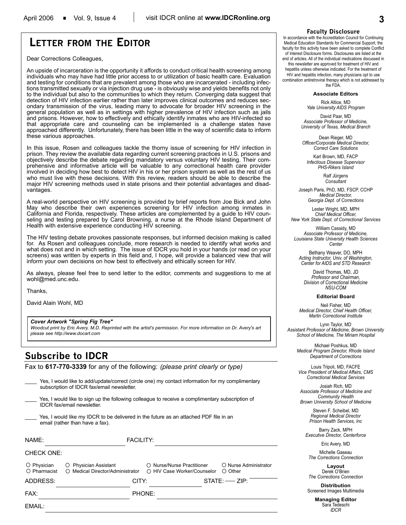# **LETTER FROM THE EDITOR**

Dear Corrections Colleagues,

An upside of incarceration is the opportunity it affords to conduct critical health screening among individuals who may have had little prior access to or utilization of basic health care. Evaluation and testing for conditions that are prevalent among those who are incarcerated - including infections transmitted sexually or via injection drug use - is obviously wise and yields benefits not only to the individual but also to the communities to which they return. Converging data suggest that detection of HIV infection earlier rather than later improves clinical outcomes and reduces secondary transmission of the virus, leading many to advocate for broader HIV screening in the general population as well as in settings with higher prevalence of HIV infection such as jails and prisons. However, how to effectively and ethically identify inmates who are HIV-infected so that appropriate care and counseling can be implemented is a challenge states have approached differently. Unfortunately, there has been little in the way of scientific data to inform these various approaches.

In this issue, Rosen and colleagues tackle the thorny issue of screening for HIV infection in prison. They review the available data regarding current screening practices in U.S. prisons and objectively describe the debate regarding mandatory versus voluntary HIV testing. Their comprehensive and informative article will be valuable to any correctional health care provider involved in deciding how best to detect HIV in his or her prison system as well as the rest of us who must live with these decisions. With this review, readers should be able to describe the major HIV screening methods used in state prisons and their potential advantages and disadvantages.

A real-world perspective on HIV screening is provided by brief reports from Joe Bick and John May who describe their own experiences screening for HIV infection among inmates in California and Florida, respectively. These articles are complemented by a guide to HIV counseling and testing prepared by Carol Browning, a nurse at the Rhode Island Department of Health with extensive experience conducting HIV screening.

The HIV testing debate provokes passionate responses, but informed decision making is called for. As Rosen and colleagues conclude, more research is needed to identify what works and what does not and in which setting. The issue of IDCR you hold in your hands (or read on your screens) was written by experts in this field and, I hope, will provide a balanced view that will inform your own decisions on how best to effectively and ethically screen for HIV.

As always, please feel free to send letter to the editor, comments and suggestions to me at wohl@med.unc.edu.

Thanks,

David Alain Wohl, MD

#### *Cover Artwork "Spring Fig Tree"*

*Woodcut print by Eric Avery. M.D. Reprinted with the artist's permission. For more information on Dr. Avery's art please see http://www.docart.com*

## **Subscribe to IDCR**

Fax to **617-770-3339** for any of the following: *(please print clearly or type)*

Yes, I would like to add/update/correct (circle one) my contact information for my complimentary subscription of IDCR fax/email newsletter.

Yes, I would like to sign up the following colleague to receive a complimentary subscription of IDCR fax/email newsletter.

Yes, I would like my IDCR to be delivered in the future as an attached PDF file in an email (rather than have a fax).

| NAME:                       |                                                           | <b>FACILITY:</b> |                                                           |                                  |
|-----------------------------|-----------------------------------------------------------|------------------|-----------------------------------------------------------|----------------------------------|
| <b>CHECK ONE:</b>           |                                                           |                  |                                                           |                                  |
| O Physician<br>O Pharmacist | O Physician Assistant<br>◯ Medical Director/Administrator |                  | ○ Nurse/Nurse Practitioner<br>○ HIV Case Worker/Counselor | O Nurse Administrator<br>○ Other |
| ADDRESS:                    |                                                           | CITY:            |                                                           | $STATE:$ $\longrightarrow$ ZIP:  |
| FAX:                        |                                                           | PHONE:           |                                                           |                                  |
| FMAII:                      |                                                           |                  |                                                           |                                  |

### **Faculty Disclosure**

In accordance with the Accreditation Council for Continuing Medical Education Standards for Commercial Support, the faculty for this activity have been asked to complete Conflict of Interest Disclosure forms. Disclosures are listed at the end of articles. All of the individual medications discussed in

this newsletter are approved for treatment of HIV and hepatitis unless otherwise indicated. For the treatment of HIV and hepatitis infection, many physicians opt to use combination antiretroviral therapy which is not addressed by the FDA.

#### **Associate Editors**

Rick Altice, MD *Yale University AIDS Program*

David Paar, MD *Associate Professor of Medicine, University of Texas, Medical Branch*

Dean Rieger, MD *Officer/Corporate Medical Director, Correct Care Solutions*

Karl Brown, MD, FACP *Infectious Disease Supervisor PHS-Rikers Island*

> Ralf Jürgens *Consultant*

Joseph Paris, PhD, MD, FSCP, CCHP *Medical Director, Georgia Dept. of Corrections*

Lester Wright, MD, MPH *Chief Medical Officer, New York State Dept. of Correctional Services*

William Cassidy, MD *Associate Professor of Medicine, Louisiana State University Health Sciences Center*

Bethany Weaver, DO, MPH *Acting Instructor, Univ. of Washington, Center for AIDS and STD Research*

David Thomas, MD, JD *Professor and Chairman, Division of Correctional Medicine NSU-COM*

#### **Editorial Board**

Neil Fisher, MD *Medical Director, Chief Health Officer, Martin Correctional Institute*

Lynn Taylor, MD *Assistant Professor of Medicine, Brown University School of Medicine, The Miriam Hospital*

Michael Poshkus, MD *Medical Program Director, Rhode Island Department of Corrections*

Louis Tripoli, MD, FACFE *Vice President of Medical Affairs, CMS Correctional Medical Services*

Josiah Rich, MD *Associate Professor of Medicine and Community Health Brown University School of Medicine*

> Steven F. Scheibel, MD *Regional Medical Director Prison Health Services, Inc*

Barry Zack, MPH *Executive Director, Centerforce*

Eric Avery, MD

Michelle Gaseau *The Corrections Connection*

**Layout** Derek O'Brien *The Corrections Connection*

**Distribution** Screened Images Multimedia

> **Managing Editor** Sara Tedeschi *IDCR*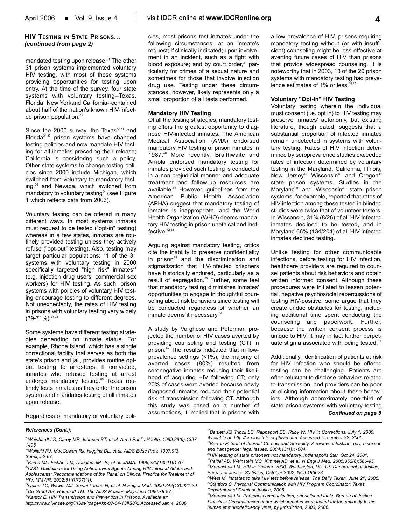## **HIV TESTING IN STATE PRISONS...** *(continued from page 2)*

mandated testing upon release.<sup>31</sup> The other 31 prison systems implemented voluntary HIV testing, with most of these systems providing opportunities for testing upon entry. At the time of the survey, four state systems with voluntary testing--Texas, Florida, New Yorkand California--contained about half of the nation's known HIV-infected prison population.<sup>31</sup>

Since the 2000 survey, the Texas $32,33$  and Florida<sup>34,35</sup> prison systems have changed testing policies and now mandate HIV testing for all inmates preceding their release; California is considering such a policy. Other state systems to change testing policies since 2000 include Michigan, which switched from voluntary to mandatory testing,<sup>36</sup> and Nevada, which switched from mandatory to voluntary testing<sup>34</sup> (see Figure 1 which reflects data from 2003).

Voluntary testing can be offered in many different ways. In most systems inmates must request to be tested ("opt-in" testing) whereas in a few states, inmates are routinely provided testing unless they actively refuse ("opt-out" testing). Also, testing may target particular populations: 11 of the 31 systems with voluntary testing in 2000 specifically targeted "high risk" inmates<sup>31</sup> (e.g. injection drug users, commercial sex workers) for HIV testing. As such, prison systems with policies of voluntary HIV testing encourage testing to different degrees. Not unexpectedly, the rates of HIV testing in prisons with voluntary testing vary widely  $(39-71\%)$ .  $37,38$ 

Some systems have different testing strategies depending on inmate status. For example, Rhode Island, which has a single correctional facility that serves as both the state's prison and jail, provides routine optout testing to arrestees. If convicted, inmates who refused testing at arrest undergo mandatory testing.<sup>39</sup> Texas routinely tests inmates as they enter the prison system and mandates testing of all inmates upon release.

cies, most prisons test inmates under the following circumstances: at an inmate's request; if clinically indicated; upon involvement in an incident, such as a fight with blood exposure; and by court order, $31$  particularly for crimes of a sexual nature and sometimes for those that involve injection drug use. Testing under these circumstances, however, likely represents only a small proportion of all tests performed.

### **Mandatory HIV Testing**

Of all the testing strategies, mandatory testing offers the greatest opportunity to diagnose HIV-infected inmates. The American Medical Association (AMA) endorsed mandatory HIV testing of prison inmates in 1987.40 More recently, Braithwaite and Arriola endorsed mandatory testing for inmates provided such testing is conducted in a non-prejudicial manner and adequate treatment and follow-up resources are available.<sup>41</sup> However, guidelines from the American Public Health Association (APHA) suggest that mandatory testing of inmates is inappropriate, and the World Health Organization (WHO) deems mandatory HIV testing in prison unethical and ineffective.<sup>42,43</sup>

Arguing against mandatory testing, critics cite the inability to preserve confidentiality in prison $25$  and the discrimination and stigmatization that HIV-infected prisoners have historically endured, particularly as a result of segregation.<sup>26</sup> Further, some feel that mandatory testing diminishes inmates' opportunities to engage in thoughtful counseling about risk behaviors since testing will be conducted regardless of whether an inmate deems it necessary.<sup>44</sup>

A study by Varghese and Peterman projected the number of HIV cases averted by providing counseling and testing (CT) in prison.<sup>45</sup> The results indicated that in lowprevalence settings  $(≤1%)$ , the majority of averted cases (80%) resulted from seronegative inmates reducing their likelihood of acquiring HIV following CT; only 20% of cases were averted because newly diagnosed inmates reduced their potential risk of transmission following CT. Although this study was based on a number of assumptions, it implied that in prisons with

a low prevalence of HIV, prisons requiring mandatory testing without (or with insufficient) counseling might be less effective at averting future cases of HIV than prisons that provide widespread counseling. It is noteworthy that in 2003, 13 of the 20 prison systems with mandatory testing had prevalence estimates of  $1\%$  or less. $3\%$ 

#### **Voluntary "Opt-In" HIV Testing**

Voluntary testing wherein the individual must consent (i.e. opt in) to HIV testing may preserve inmates' autonomy, but existing literature, though dated, suggests that a substantial proportion of infected inmates remain undetected in systems with voluntary testing. Rates of HIV infection determined by seroprevalence studies exceeded rates of infection determined by voluntary testing in the Maryland, California, Illinois, New Jersey<sup>47</sup> Wisconsin<sup>48</sup> and Oregon<sup>49</sup> state prison systems. Studies in the Maryland<sup>50</sup> and Wisconsin<sup>48</sup> state prison systems, for example, reported that rates of HIV infection among those tested in blinded studies were twice that of volunteer testers. In Wisconsin, 31% (8/26) of all HIV-infected inmates declined to be tested, and in Maryland 66% (134/204) of all HIV-infected inmates declined testing.

Unlike testing for other communicable infections, before testing for HIV infection, healthcare providers are required to counsel patients about risk behaviors and obtain written informed consent. Although these procedures were initiated to lessen potential, negative psychosocial repercussions of testing HIV-positive, some argue that they create undue obstacles for testing, including additional time spent conducting the counseling and paperwork. Further, because the written consent process is unique to HIV, it may in fact further perpetuate stigma associated with being tested.<sup>51</sup>

Additionally, identification of patients at risk for HIV infection who should be offered testing can be challenging. Patients are often reluctant to disclose behaviors related to transmission, and providers can be poor at eliciting information about these behaviors. Although approximately one-third of state prison systems with voluntary testing *Continued on page 5*

Regardless of mandatory or voluntary poli-

#### *References (Cont.):*

*20Weinhardt LS, Carey MP, Johnson BT, et al. Am J Public Health. 1999;89(9):1397- 1405.*

*27Bartlett JG, Tripoli LC, Rappaport ES, Ruby W. HIV in Corrections. July 1, 2000.*

*<sup>21</sup>Wolitski RJ, MacGowan RJ, Higgins DL, et al. AIDS Educ Prev. 1997;9(3 Suppl):52-67.*

*<sup>22</sup>Kamb ML, Fishbein M, Douglas JM, Jr., et al. JAMA. 1998;280(13):1161-67. 23CDC. Guidelines for Using Antiretroviral Agents Among HIV-Infected Adults and Adolescents: Recommendations of the Panel on Clinical Practice for Treatment of*

*HIV. MMWR. 2002;51(RR07)(1). 24Quinn TC, Wawer MJ, Sewankambo N, et al. N Engl J Med. 2000;342(13):921-29.*

*<sup>25</sup>De Groot AS, Hammett TM. The AIDS Reader. May/June 1996:78-87. 26Kantor E. HIV Transmission and Prevention in Prisons. Available at:*

*http://www.hivinsite.org/InSite?page=kb-07-04-13#S8X. Accessed Jan 4, 2006.*

*Available at: http://cm-institute.org/hivin.htm. Accessed December 22, 2005. 28Barron P, Staff of Journal 13. Law and Sexuality: A review of lesbian, gay, bisexual and transgender legal issues. 2004;13(1):1-604.*

*<sup>29</sup>HIV testing of state prisoners not mandatory. Indianapolis Star. Oct 24, 2001.*

*<sup>30</sup>Paltiel AD, Weinstein MC, Kimmel AD, et al. N Engl J Med. 2005;352(6):586-95. 31Maruschak LM. HIV in Prisons, 2000. Washington, DC: US Department of Justice, Bureau of Justice Statistics; October 2002. NCJ 196023.*

*<sup>32</sup>West M. Inmates to take HIV test before release. The Daily Texan. June 21, 2005. 33Stanford S. Personal Communication with HIV Program Coordinator, Texas Department of Criminal Justice; 2006.*

*<sup>34</sup>Maruschak LM. Personal communication, unpublished table, Bureau of Justice Statistics: Circumstances under which inmates were tested for the antibody to the human immunodeficiency virus, by jurisdiction, 2003; 2006.*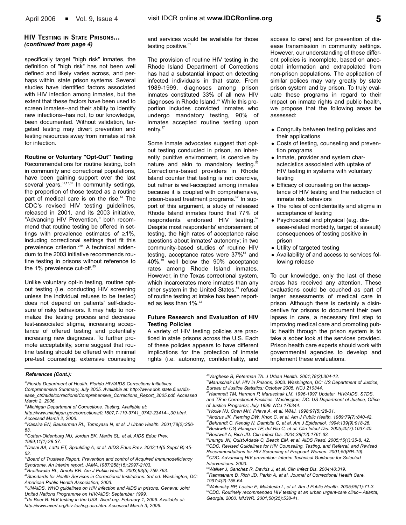## **HIV TESTING IN STATE PRISONS...** *(continued from page 4)*

specifically target "high risk" inmates, the definition of "high risk" has not been well defined and likely varies across, and perhaps within, state prison systems. Several studies have identified factors associated with HIV infection among inmates, but the extent that these factors have been used to screen inmates--and their ability to identify new infections--has not, to our knowledge, been documented. Without validation, targeted testing may divert prevention and testing resources away from inmates at risk for infection.

### **Routine or Voluntary "Opt-Out" Testing**

Recommendations for routine testing, both in community and correctional populations, have been gaining support over the last several years.<sup>51,17,52</sup> In community settings, the proportion of those tested as a routine part of medical care is on the rise.<sup>53</sup> The CDC's revised HIV testing guidelines, released in 2001, and its 2003 initiative, "Advancing HIV Prevention," both recommend that routine testing be offered in settings with prevalence estimates of  $\geq 1\%$ , including correctional settings that fit this prevalence criterion.<sup>2,54</sup> A technical addendum to the 2003 initiative recommends routine testing in prisons without reference to the 1% prevalence cut-off.<sup>55</sup>

Unlike voluntary opt-in testing, routine optout testing (i.e. conducting HIV screening unless the individual refuses to be tested) does not depend on patients' self-disclosure of risky behaviors. It may help to normalize the testing process and decrease test-associated stigma, increasing acceptance of offered testing and potentially increasing new diagnoses. To further promote acceptability, some suggest that routine testing should be offered with minimal pre-test counseling; extensive counseling

and services would be available for those testing positive.<sup>51</sup>

The provision of routine HIV testing in the Rhode Island Department of Corrections has had a substantial impact on detecting infected individuals in that state. From 1989-1999, diagnoses among prison inmates constituted 33% of all new HIV diagnoses in Rhode Island.<sup>39</sup> While this proportion includes convicted inmates who undergo mandatory testing, 90% of inmates accepted routine testing upon entry.<sup>17</sup>

Some inmate advocates suggest that optout testing conducted in prison, an inherently punitive environment, is coercive by nature and akin to mandatory testing.<sup>5</sup> Corrections-based providers in Rhode Island counter that testing is not coercive, but rather is well-accepted among inmates because it is coupled with comprehensive, prison-based treatment programs.<sup>52</sup> In support of this argument, a study of released Rhode Island inmates found that 77% of respondents endorsed HIV testing.<sup>57</sup> Despite most respondents' endorsement of testing, the high rates of acceptance raise questions about inmates' autonomy; in two community-based studies of routine HIV testing, acceptance rates were 37%<sup>58</sup> and 40%,<sup>59</sup> well below the 90% acceptance rates among Rhode Island inmates. However, in the Texas correctional system, which incarcerates more inmates than any other system in the United States,<sup>46</sup> refusal of routine testing at intake has been reported as less than  $1\%$ .<sup>32</sup>

#### **Future Research and Evaluation of HIV Testing Policies**

A variety of HIV testing policies are practiced in state prisons across the U.S. Each of these policies appears to have different implications for the protection of inmate rights (i.e. autonomy, confidentiality, and

access to care) and for prevention of disease transmission in community settings. However, our understanding of these different policies is incomplete, based on anecdotal information and extrapolated from non-prison populations. The application of similar polices may vary greatly by state prison system and by prison. To truly evaluate these programs in regard to their impact on inmate rights and public health, we propose that the following areas be assessed:

- Congruity between testing policies and their applications
- Costs of testing, counseling and prevention programs
- Inmate, provider and system charactecistics associated with uptake of HIV testing in systems with voluntary testing
- Efficacy of counseling on the acceptance of HIV testing and the reduction of inmate risk behaviors
- The roles of confidentiality and stigma in acceptance of testing
- Psychosocial and physical (e.g. disease-related morbidity, target of assault) consequences of testing positive in prison
- Utility of targeted testing
- Availability of and access to services following release

To our knowledge, only the last of these areas has received any attention. These evaluations could be couched as part of larger assessments of medical care in prison. Although there is certainly a disincentive for prisons to document their own lapses in care, a necessary first step to improving medical care and promoting public health through the prison system is to take a sober look at the services provided. Prison health care experts should work with governmental agencies to develop and implement these evaluations.

*35Florida Department of Health. Florida HIV/AIDS Corrections Initiatives:*

*Comprehensive Summary, July 2005. Available at: http://www.doh.state.fl.us/disease\_ctrl/aids/corrections/Comprehensive\_Corrections\_Report\_2005.pdf. Accessed March 2, 2006.*

*36Michigan Department of Corrections. Testing. Available at:*

*46Maruschak LM. HIV in Prisons, 2003. Washington, DC: US Department of Justice, Bureau of Justice Statistics; October 2005. NCJ 210344.*

*50Behrendt C, Kendig N, Dambita C, et al. Am J Epidemiol. 1994;139(9):918-26. 51Beckwith CG, Flanigan TP, del Rio C, et al. Clin Infect Dis. 2005;40(7):1037-40. 52Boutwell A, Rich JD. Clin Infect Dis. 2004;38(12):1761-63.*

*53Inungu JN, Quist-Adade C, Beach EM, et al. AIDS Read. 2005;15(1):35-8, 42.*

*56Walker J, Sanchez R, Davids J, et al. Clin Infect Dis. 2004;40:319.*

*References (Cont.):*

*http://www.michigan.gov/corrections/0,1607,7-119-9741\_9742-23414--,00.html. Accessed March 2, 2006.*

*<sup>37</sup>Kassira EN, Bauserman RL, Tomoyasu N, et al. J Urban Health. 2001;78(2):256- 63.*

*<sup>38</sup>Cotten-Oldenburg NU, Jordan BK, Martin SL, et al. AIDS Educ Prev. 1999;11(1):28-37.*

*<sup>39</sup>Desai AA, Latta ET, Spaulding A, et al. AIDS Educ Prev. 2002;14(5 Suppl B):45- 52.*

*<sup>40</sup>Board of Trustees Report. Prevention and control of Acquired Immunodeficiency Syndrome. An interim report. JAMA.1987;258(15):2097-2103.*

*<sup>41</sup>Braithwaite RL, Arriola KR. Am J Public Health. 2003;93(5):759-763.*

*<sup>42</sup>Standards for Health Services in Correctional Institutions. 3rd ed. Washington, DC: American Public Health Association; 2003.*

*<sup>43</sup>UNAIDS. WHO guidelines on HIV infection and AIDS in prisons. Geneva: Joint United Nations Programme on HIV/AIDS; September 1999.*

*<sup>44</sup>de Boer B. HIV testing in the USA. Avert.org. February 1, 2006. Available at: http://www.avert.org/hiv-testing-usa.htm. Accessed March 3, 2006.*

*<sup>45</sup>Varghese B, Peterman TA. J Urban Health. 2001;78(2):304-12.*

*<sup>47</sup>Hammett TM, Harmon P, Maruschak LM. 1996-1997 Update: HIV/AIDS, STDS, and TB in Correctional Facilities. Washington, DC: US Department of Justice, Office of Justice Programs; July 1999. NCJ 176344.*

*<sup>48</sup>Hoxie NJ, Chen MH, Prieve A, et al. WMJ. 1998;97(5):28-31.*

*<sup>49</sup>Andrus JK, Fleming DW, Knox C, et al. Am J Public Health. 1989;79(7):840-42.*

*<sup>54</sup>CDC. Revised Guidelines for HIV Counseling, Testing, and Referral, and Revised Recommendations for HIV Screening of Pregnant Women. 2001;50(RR-19). 55CDC. Advancing HIV prevention: Interim Technical Guidance for Selected Interventions. 2003.*

*<sup>57</sup>Ramratnam B, Rich JD, Parkh A, et al. Journal of Correctional Health Care. 1997;4(2):155-64.*

*<sup>58</sup>Walensky RP, Losina E, Malatesta L, et al. Am J Public Health. 2005;95(1):71-3. 59CDC. Routinely recommended HIV testing at an urban urgent-care clinic-- Atlanta, Georgia, 2000. MMWR. 2001;50(25):538-41.*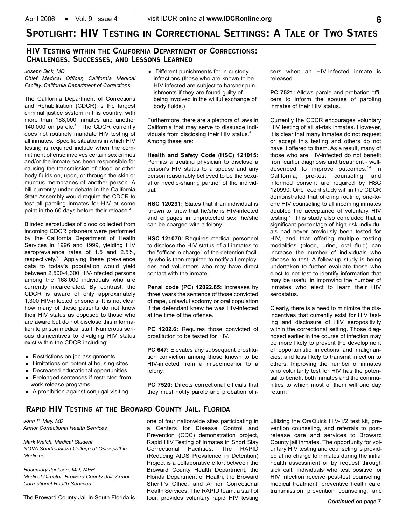# **SPOTLIGHT: HIV TESTING IN CORRECTIONAL SETTINGS: A TALE OF TWO STATES**

## **HIV TESTING WITHIN THE CALIFORNIA DEPARTMENT OF CORRECTIONS: CHALLENGES, SUCCESSES, AND LESSONS LEARNED**

*Joseph Bick, MD*

*Chief Medical Officer, California Medical Facility, California Department of Corrections*

The California Department of Corrections and Rehabilitation (CDCR) is the largest criminal justice system in this country, with more than 168,000 inmates and another 140,000 on parole.<sup>1</sup> The CDCR currently does not routinely mandate HIV testing of all inmates. Specific situations in which HIV testing is required include when the commitment offense involves certain sex crimes and/or the inmate has been responsible for causing the transmission of blood or other body fluids on, upon, or through the skin or mucous membranes of another person. A bill currently under debate in the California State Assembly would require the CDCR to test all paroling inmates for HIV at some point in the 60 days before their release.<sup>2</sup>

Blinded serostudies of blood collected from incoming CDCR prisoners were performed by the California Department of Health Services in 1996 and 1999, yielding HIV seroprevalence rates of 1.5 and 2.5%, respectively.3 Applying these prevalence data to today's population would yield between 2,500-4,300 HIV-infected persons among the 168,000 individuals who are currently incarcerated. By contrast, the CDCR is aware of only approximately 1,300 HIV-infected prisoners. It is not clear how many of these patients do not know their HIV status as opposed to those who are aware but do not disclose this information to prison medical staff. Numerous serious disincentives to divulging HIV status exist within the CDCR including:

- Restrictions on job assignments
- Limitations on potential housing sites
- Decreased educational opportunities
- Prolonged sentences if restricted from work-release programs
- A prohibition against conjugal visiting

• Different punishments for in-custody infractions (those who are known to be HIV-infected are subject to harsher punishments if they are found guilty of being involved in the willful exchange of body fluids.)

Furthermore, there are a plethora of laws in California that may serve to dissuade individuals from disclosing their HIV status.<sup>4</sup> Among these are:

**Health and Safety Code (HSC) 121015:** Permits a treating physician to disclose a person's HIV status to a spouse and any person reasonably believed to be the sexual or needle-sharing partner of the individual.

**HSC 120291:** States that if an individual is known to know that he/she is HIV-infected and engages in unprotected sex, he/she can be charged with a felony.

**HSC 121070:** Requires medical personnel to disclose the HIV status of all inmates to the "officer in charge" of the detention facility who is then required to notify all employees and volunteers who may have direct contact with the inmate.

**Penal code (PC) 12022.85:** Increases by three years the sentence of those convicted of rape, unlawful sodomy or oral copulation if the defendant knew he was HIV-infected at the time of the offense.

**PC 1202.6:** Requires those convicted of prostitution to be tested for HIV.

**PC 647: Elevates any subsequent prostitu**tion conviction among those known to be HIV-infected from a misdemeanor to a felony.

**PC 7520:** Directs correctional officials that they must notify parole and probation officers when an HIV-infected inmate is released.

**PC 7521:** Allows parole and probation officers to inform the spouse of paroling inmates of their HIV status.

Currently the CDCR encourages voluntary HIV testing of all at-risk inmates. However, it is clear that many inmates do not request or accept this testing and others do not have it offered to them. As a result, many of those who are HIV-infected do not benefit from earlier diagnosis and treatment - welldescribed to improve outcomes.<sup>5,6</sup> In California, pre-test counseling and informed consent are required by HSC 120990. One recent study within the CDCR demonstrated that offering routine, one-toone HIV counseling to all incoming inmates doubled the acceptance of voluntary HIV testing. $<sup>7</sup>$  This study also concluded that a</sup> significant percentage of high-risk individuals had never previously been tested for HIV, and that offering multiple testing modalities (blood, urine, oral fluid) can increase the number of individuals who choose to test. A follow-up study is being undertaken to further evaluate those who elect to not test to identify information that may be useful in improving the number of inmates who elect to learn their HIV serostatus.

Clearly, there is a need to minimize the disincentives that currently exist for HIV testing and disclosure of HIV seropositivity within the correctional setting. Those diagnosed earlier in the course of infection may be more likely to prevent the development of opportunistic infections and malignancies, and less likely to transmit infection to others. Improving the number of inmates who voluntarily test for HIV has the potential to benefit both inmates and the communities to which most of them will one day return.

## **RAPID HIV TESTING AT THE BROWARD COUNTY JAIL, FLORIDA**

*John P. May, MD Armor Correctional Health Services*

*Mark Welch, Medical Student NOVA Southeastern College of Osteopathic Medicine*

*Rosemary Jackson, MD, MPH Medical Director, Broward County Jail, Armor Correctional Health Services*

The Broward County Jail in South Florida is

one of four nationwide sites participating in a Centers for Disease Control and Prevention (CDC) demonstration project, Rapid HIV Testing of Inmates in Short Stay Correctional Facilities. The RAPID (Reducing AIDS Prevalence in Detention) Project is a collaborative effort between the Broward County Health Department, the Florida Department of Health, the Broward Sheriff's Office, and Armor Correctional Health Services. The RAPID team, a staff of four, provides voluntary rapid HIV testing

utilizing the OraQuick HIV-1/2 test kit, prevention counseling, and referrals to postrelease care and services to Broward County jail inmates. The opportunity for voluntary HIV testing and counseling is provided at no charge to inmates during the initial health assessment or by request through sick call. Individuals who test positive for HIV infection receive post-test counseling, medical treatment, preventive health care, transmission prevention counseling, and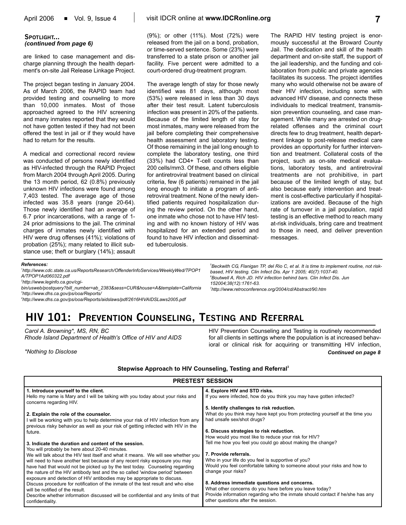## **SPOTLIGHT...** *(continued from page 6)*

are linked to case management and discharge planning through the health department's on-site Jail Release Linkage Project.

The project began testing in January 2004. As of March 2006, the RAPID team had provided testing and counseling to more than 10,000 inmates. Most of those approached agreed to the HIV screening and many inmates reported that they would not have gotten tested if they had not been offered the test in jail or if they would have had to return for the results.

A medical and correctional record review was conducted of persons newly identified as HIV-infected through the RAPID Project from March 2004 through April 2005. During the 13 month period, 62 (0.8%) previously unknown HIV infections were found among 7,403 tested. The average age of those infected was 35.8 years (range 20-64). Those newly identified had an average of 6.7 prior incarcerations, with a range of 1- 24 prior admissions to the jail. The criminal charges of inmates newly identified with HIV were drug offenses (41%); violations of probation (25%); many related to illicit substance use; theft or burglary (14%); assault (9%); or other (11%). Most (72%) were released from the jail on a bond, probation, or time-served sentence. Some (23%) were transferred to a state prison or another jail facility. Five percent were admitted to a court-ordered drug-treatment program.

The average length of stay for those newly identified was 81 days, although most (53%) were released in less than 30 days after their test result. Latent tuberculosis infection was present in 20% of the patients. Because of the limited length of stay for most inmates, many were released from the jail before completing their comprehensive health assessment and laboratory testing. Of those remaining in the jail long enough to complete the laboratory testing, one third (33%) had CD4+ T-cell counts less than 200 cells/mm3. Of these, and others eligible for antiretroviral treatment based on clinical criteria, few (6 patients) remained in the jail long enough to initiate a program of antiretroviral treatment. None of the newly identified patients required hospitalization during the review period. On the other hand, one inmate who chose not to have HIV testing and with no known history of HIV was hospitalized for an extended period and found to have HIV infection and disseminated tuberculosis.

The RAPID HIV testing project is enormously successful at the Broward County Jail. The dedication and skill of the health department and on-site staff, the support of the jail leadership, and the funding and collaboration from public and private agencies facilitates its success. The project identifies many who would otherwise not be aware of their HIV infection, including some with advanced HIV disease, and connects these individuals to medical treatment, transmission prevention counseling, and case management. While many are arrested on drugrelated offenses and the criminal court directs few to drug treatment, health department linkage to post-release medical care provides an opportunity for further intervention and treatment. Collateral costs of the project, such as on-site medical evaluations, laboratory tests, and antiretroviral treatments are not prohibitive, in part because of the limited length of stay, but also because early intervention and treatment is cost-effective particularly if hospitalizations are avoided. Because of the high rate of turnover in a jail population, rapid testing is an effective method to reach many at-risk individuals, bring care and treatment to those in need, and deliver prevention messages.

#### *References:*

*1 http://www.cdc.state.ca.us/ReportsResearch/OffenderInfoServices/WeeklyWed/TPOP1 A/TPOP1Ad060322.pdf*

*2 http://www.leginfo.ca.gov/cgi-*

*bin/usweb/postquery?bill\_number=ab\_2383&sess=CUR&house=A&template=California 3 http://www.dhs.ca.gov/ps/ooa/Reports/*

*4 http://www.dhs.ca.gov/ps/ooa/Reports/aidslaws/pdf/2616HIVAIDSLaws2005.pdf*

*152004;38(12):1761-63. 7 http://www.retroconference.org/2004/cd/Abstract/90.htm*

*based, HIV testing. Clin Infect Dis. Apr 1 2005; 40(7):1037-40. 6 Boutwell A, Rich JD. HIV infection behind bars. Clin Infect Dis. Jun*

# **HIV 101: PREVENTION COUNSELING, TESTING AND REFERRAL**

*Carol A. Browning\*, MS, RN, BC Rhode Island Department of Health's Office of HIV and AIDS*

*\*Nothing to Disclose*

HIV Prevention Counseling and Testing is routinely recommended for all clients in settings where the population is at increased behavioral or clinical risk for acquiring or transmitting HIV infection, *Continued on page 8*

*5 Beckwith CG, Flanigan TP, del Rio C, et al. It is time to implement routine, not risk-*

Stepwise Approach to HIV Counseling, Testing and Referral<sup>3</sup>

| <b>PRESTEST SESSION</b>                                                                                    |                                                                               |  |  |  |
|------------------------------------------------------------------------------------------------------------|-------------------------------------------------------------------------------|--|--|--|
| 1. Introduce yourself to the client.                                                                       | 4. Explore HIV and STD risks.                                                 |  |  |  |
| Hello my name is Mary and I will be talking with you today about your risks and<br>concerns regarding HIV. | If you were infected, how do you think you may have gotten infected?          |  |  |  |
|                                                                                                            | 5. Identify challenges to risk reduction.                                     |  |  |  |
| 2. Explain the role of the counselor.                                                                      | What do you think may have kept you from protecting yourself at the time you  |  |  |  |
| I will be working with you to help determine your risk of HIV infection from any                           | had unsafe sex/shot drugs?                                                    |  |  |  |
| previous risky behavior as well as your risk of getting infected with HIV in the                           | 6. Discuss strategies to risk reduction.                                      |  |  |  |
| future.                                                                                                    | How would you most like to reduce your risk for HIV?                          |  |  |  |
| 3. Indicate the duration and content of the session.                                                       | Tell me how you feel you could go about making the change?                    |  |  |  |
| You will probably be here about 20-40 minutes.                                                             |                                                                               |  |  |  |
| We will talk about the HIV test itself and what it means. We will see whether you                          | 7. Provide referrals.                                                         |  |  |  |
| will need to have another test because of any recent risky exposure you may                                | Who in your life do you feel is supportive of you?                            |  |  |  |
| have had that would not be picked up by the test today. Counseling regarding                               | Would you feel comfortable talking to someone about your risks and how to     |  |  |  |
| the nature of the HIV antibody test and the so called 'window period' between                              | change your risks?                                                            |  |  |  |
| exposure and detection of HIV antibodies may be appropriate to discuss.                                    |                                                                               |  |  |  |
| Discuss procedure for notification of the inmate of the test result and who else                           | 8. Address immediate questions and concerns.                                  |  |  |  |
| will be notified of the result.                                                                            | What other concerns do you have before you leave today?                       |  |  |  |
| Describe whether information discussed will be confidential and any limits of that                         | Provide information regarding who the inmate should contact if he/she has any |  |  |  |
| confidentiality.                                                                                           | other questions after the session.                                            |  |  |  |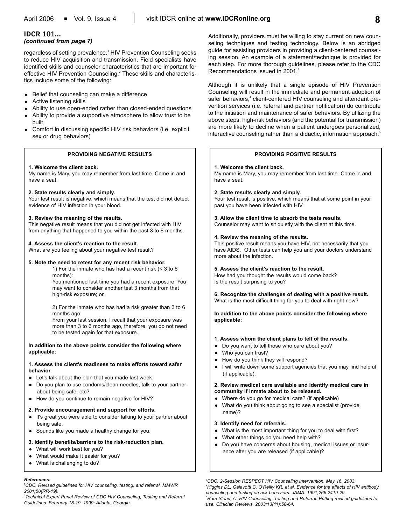## **IDCR 101...**

#### *(continued from page 7)*

regardless of setting prevalence.<sup>1</sup> HIV Prevention Counseling seeks to reduce HIV acquisition and transmission. Field specialists have identified skills and counselor characteristics that are important for effective HIV Prevention Counseling.<sup>2</sup> These skills and characteristics include some of the following:

- Belief that counseling can make a difference
- Active listening skills
- Ability to use open-ended rather than closed-ended questions
- Ability to provide a supportive atmosphere to allow trust to be built
- Comfort in discussing specific HIV risk behaviors (i.e. explicit sex or drug behaviors)

#### **PROVIDING NEGATIVE RESULTS**

#### **1. Welcome the client back.**

My name is Mary, you may remember from last time. Come in and have a seat.

## **2. State results clearly and simply.**

Your test result is negative, which means that the test did not detect evidence of HIV infection in your blood.

#### **3. Review the meaning of the results.**

This negative result means that you did not get infected with HIV from anything that happened to you within the past 3 to 6 months.

## **4. Assess the client's reaction to the result.**

What are you feeling about your negative test result?

#### **5. Note the need to retest for any recent risk behavior.**

1) For the inmate who has had a recent risk (< 3 to 6 months): You mentioned last time you had a recent exposure. You may want to consider another test 3 months from that high-risk exposure; or,

2) For the inmate who has had a risk greater than 3 to 6 months ago:

From your last session, I recall that your exposure was more than 3 to 6 months ago, therefore, you do not need to be tested again for that exposure.

**In addition to the above points consider the following where applicable:** 

### **1. Assess the client's readiness to make efforts toward safer behavior.**

- Let's talk about the plan that you made last week.
- Do you plan to use condoms/clean needles, talk to your partner about being safe, etc?
- How do you continue to remain negative for HIV?

#### **2. Provide encouragement and support for efforts.**

- It's great you were able to consider talking to your partner about being safe.
- Sounds like you made a healthy change for you.

#### **3. Identify benefits/barriers to the risk-reduction plan.**

- What will work best for you?
- What would make it easier for you?
- What is challenging to do?

#### *References:*

*1 CDC. Revised guidelines for HIV counseling, testing, and referral. MMWR 2001;50(RR-19).*

*2 Technical Expert Panel Review of CDC HIV Counseling, Testing and Referral Guidelines. February 18-19, 1999; Atlanta, Georgia.*

Additionally, providers must be willing to stay current on new counseling techniques and testing technology. Below is an abridged guide for assisting providers in providing a client-centered counseling session. An example of a statement/technique is provided for each step. For more thorough guidelines, please refer to the CDC Recommendations issued in 2001.<sup>1</sup>

Although it is unlikely that a single episode of HIV Prevention Counseling will result in the immediate and permanent adoption of safer behaviors,<sup>4</sup> client-centered HIV counseling and attendant prevention services (i.e. referral and partner notification) do contribute to the initiation and maintenance of safer behaviors. By utilizing the above steps, high-risk behaviors (and the potential for transmission) are more likely to decline when a patient undergoes personalized, interactive counseling rather than a didactic, information approach.<sup>5</sup>

### **PROVIDING POSITIVE RESULTS**

#### **1. Welcome the client back.**

My name is Mary, you may remember from last time. Come in and have a seat.

#### **2. State results clearly and simply.**

Your test result is positive, which means that at some point in your past you have been infected with HIV.

#### **3. Allow the client time to absorb the tests results.**

Counselor may want to sit quietly with the client at this time.

#### **4. Review the meaning of the results.**

This positive result means you have HIV, not necessarily that you have AIDS. Other tests can help you and your doctors understand more about the infection.

#### **5. Assess the client's reaction to the result.**

How had you thought the results would come back? Is the result surprising to you?

**6. Recognize the challenges of dealing with a positive result.** What is the most difficult thing for you to deal with right now?

**In addition to the above points consider the following where applicable:**

#### **1. Assess whom the client plans to tell of the results.**

- Do you want to tell those who care about you?
- Who you can trust?
- How do you think they will respond?
	- I will write down some support agencies that you may find helpful (if applicable).

#### **2. Review medical care available and identify medical care in community if inmate about to be released.**

- Where do you go for medical care? (if applicable)
- What do you think about going to see a specialist (provide name)?

#### **3. Identify need for referrals.**

- What is the most important thing for you to deal with first?
- What other things do you need help with?
- Do you have concerns about housing, medical issues or insurance after you are released (if applicable)?

*3 CDC. 2-Session RESPECT HIV Counseling Intervention. May 16, 2003. 4 Higgins DL, Galavotti C, O'Reilly KR, et al. Evidence for the effects of HIV antibody counseling and testing on risk behaviors. JAMA. 1991;266:2419-29. 5 Ram Stead, C. HIV Counseling, Testing and Referral: Putting revised guidelines to use. Clinician Reviews. 2003;13(11):58-64.*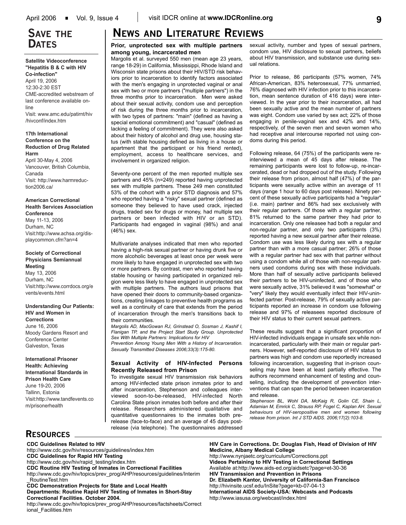## **SAVE THE DATES**

**Satellite Videoconference "Hepatitis B & C with HIV Co-infection"** April 19, 2006 12:30-2:30 EST CME-accredited webstream of last conference available online Visit: www.amc.edu/patirnt/hiv /hivconf/index.htm

**17th International Conference on the Reduction of Drug Related Harm**

April 30-May 4, 2006 Vancouver, British Columbia, Canada Visit: http://www.harmreduction2006.ca/

**American Correctional Health Services Association Conference** May 11-13, 2006 Durham, NC Visit:http://www.achsa.org/displaycommon.cfm?an=4

**Society of Correctional Physicians Semiannual Meeting**  May 13, 2006 Durham, NC Visit:http://www.corrdocs.org/e vents/events.html

**Understanding Our Patients: HIV and Women in Corrections** June 16, 2006 Moody Gardens Resort and Conference Center Galveston, Texas

#### **International Prisoner Health: Achieving International Standards in Prison Health Care** June 19-20, 2006 Tallinn, Estonia Visit:http://www.tandfevents.co m/prisonerhealth

# **NEWS AND LITERATURE REVIEWS**

#### **Prior, unprotected sex with multiple partners among young, incarcerated men**

Margolis et al. surveyed 550 men (mean age 23 years, range 18-29) in California, Mississippi, Rhode Island and Wisconsin state prisons about their HIV/STD risk behaviors prior to incarceration to identify factors associated with the men's engaging in unprotected vaginal or anal sex with two or more partners ("multiple partners") in the three months prior to incarceration. Men were asked about their sexual activity, condom use and perception of risk during the three months prior to incarceration, with two types of partners: "main" (defined as having a special emotional commitment) and "casual" (defined as lacking a feeling of commitment). They were also asked about their history of alcohol and drug use, housing status (with stable housing defined as living in a house or apartment that the participant or his friend rented), employment, access to healthcare services, and involvement in organized religion.

Seventy-one percent of the men reported multiple sex partners and 45% (n=249) reported having unprotected sex with multiple partners. These 249 men constituted 53% of the cohort with a prior STD diagnosis and 57% who reported having a "risky" sexual partner (defined as someone they believed to have used crack, injected drugs, traded sex for drugs or money, had multiple sex partners or been infected with HIV or an STD). Participants had engaged in vaginal (98%) and anal (46%) sex.

Multivariate analyses indicated that men who reported having a high-risk sexual partner or having drunk five or more alcoholic beverages at least once per week were more likely to have engaged in unprotected sex with two or more partners. By contrast, men who reported having stable housing or having participated in organized religion were less likely to have engaged in unprotected sex with multiple partners. The authors laud prisons that have opened their doors to community-based organizations, creating linkages to preventive health programs as well as a continuity of care that extends from the period of incarceration through the men's transitions back to their communities.

*Margolis AD, MacGowan RJ, Grinstead O, Sosman J, Kashif I, Flanigan TP, and the Project Start Study Group. Unprotected Sex With Multiple Partners: Implications for HIV Prevention Among Young Men With a History of Incarceration.*

*Sexually Transmitted Diseases 2006;33(3):175-80.*

#### **Sexual Activity of HIV-Infected Persons Recently Released from Prison**

To investigate sexual HIV transmission risk behaviors among HIV-infected state prison inmates prior to and after incarceration, Stephenson and colleagues interviewed soon-to-be-released, HIV-infected North Carolina State prison inmates both before and after their release. Researchers administered qualitative and quantitative questionnaires to the inmates both prerelease (face-to-face) and an average of 45 days postrelease (via telephone). The questionnaires addressed

sexual activity, number and types of sexual partners, condom use, HIV disclosure to sexual partners, beliefs about HIV transmission, and substance use during sexual relations.

Prior to release, 86 participants (57% women, 74% African-American, 83% heterosexual, 77% unmarried, 76% diagnosed with HIV infection prior to this incarceration, mean sentence duration of 416 days) were interviewed. In the year prior to their incarceration, all had been sexually active and the mean number of partners was eight. Condom use varied by sex act; 22% of those engaging in penile-vaginal sex and 42% and 14%, respectively, of the seven men and seven women who had receptive anal intercourse reported not using condoms during this period.

Following release, 64 (75%) of the participants were reinterviewed a mean of 45 days after release. The remaining participants were lost to follow-up, re-incarcerated, dead or had dropped out of the study. Following their release from prison, almost half (47%) of the participants were sexually active within an average of 11 days (range 1 hour to 60 days post release). Ninety percent of these sexually active participants had a "regular" (i.e. main) partner and 86% had sex exclusively with their regular partners. Of those with a regular partner, 81% returned to the same partner they had prior to incarceration. Only one releasee had both a regular and non-regular partner, and only two participants (3%) reported having a new sexual partner after their release. Condom use was less likely during sex with a regular partner than with a more casual partner; 26% of those with a regular partner had sex with that partner without using a condom while all of those with non-regular partners used condoms during sex with these individuals. More than half of sexually active participants believed their partners to be HIV-uninfected, and of those who were sexually active, 31% believed it was "somewhat" or "very" likely they would eventually infect their HIV-uninfected partner. Post-release, 79% of sexually active participants reported an increase in condom use following release and 97% of releasees reported disclosure of their HIV status to their current sexual partners.

These results suggest that a significant proportion of HIV-infected individuals engage in unsafe sex while nonincarcerated, particularly with their main or regular partners. However, self-reported disclosure of HIV status to partners was high and condom use reportedly increased following incarceration, suggesting that in-prison counseling may have been at least partially effective. The authors recommend enhancement of testing and counseling, including the development of prevention interventions that can span the period between incarceration and release.

*Stephenson BL, Wohl DA, McKaig R, Golin CE, Shain L, Adamian M, Emrick C, Strauss RP, Fogel C, Kaplan AH. Sexual behaviours of HIV-seropositive men and women following release from prison. Int J STD AIDS. 2006;17(2):103-8.*

## **RESOURCES**

ional\_Facilities.htm

**CDC Guidelines Related to HIV** http://www.cdc.gov/hiv/resources/guidelines/index.htm **CDC Guidelines for Rapid HIV Testing** http://www.cdc.gov/hiv/rapid\_testing/index.htm **CDC Routine HIV Testing of Inmates in Correctional Facilities** http://www.cdc.gov/hiv/topics/prev\_prog/AHP/resources/guidelines/Interim \_RoutineTest.htm **CDC Demonstration Projects for State and Local Health Departments: Routine Rapid HIV Testing of Inmates in Short-Stay Correctional Facilities. October 2004.** http://www.cdc.gov/hiv/topics/prev\_prog/AHP/resources/factsheets/Correct **HIV Care in Corrections. Dr. Douglas Fish, Head of Division of HIV Medicine, Albany Medical College**

http://www.nynjaetc.org/curriculum/Corrections.ppt **Videos Pertaining to HIV Testing in Correctional Settings** Available at:http://www.aids-ed.org/aidsetc?page=et-30-36 **HIV Transmission and Prevention in Prisons Dr. Elizabeth Kantor, University of California-San Francisco** http://hivinsite.ucsf.edu/InSite?page=kb-07-04-13 **International AIDS Society-USA: Webcasts and Podcasts** http://www.iasusa.org/webcast/index.html